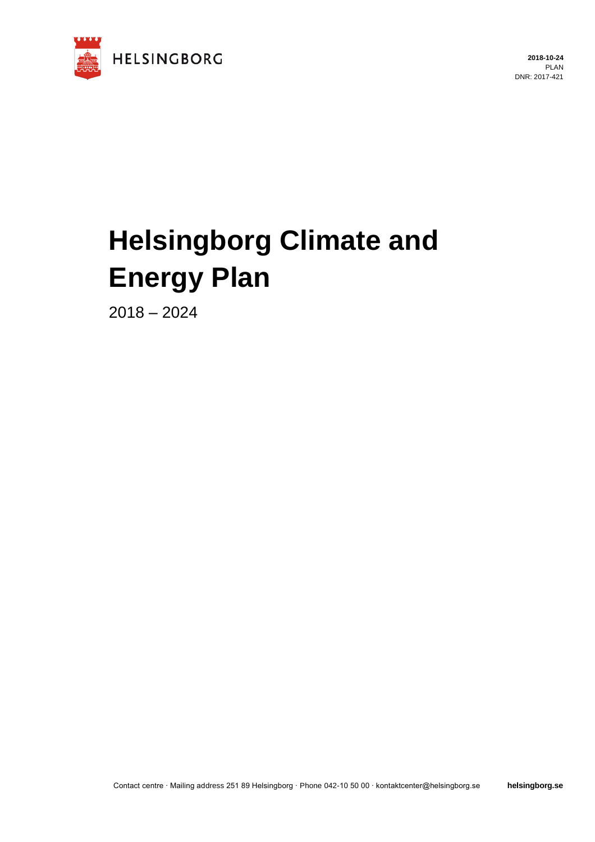

**2018-10-24** PLAN DNR: 2017-421

# **Helsingborg Climate and Energy Plan**

2018 – 2024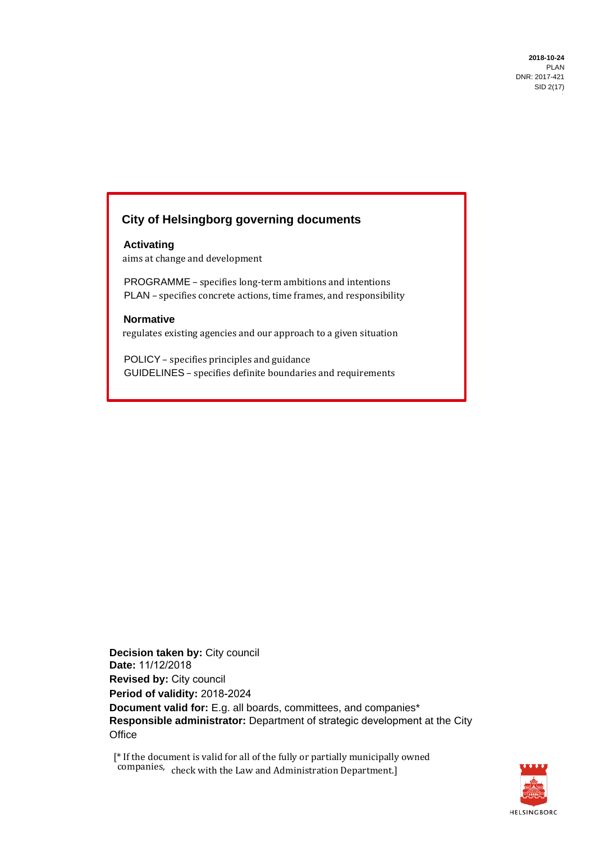## **City of Helsingborg governing documents**

#### **Activating** aims at change and development

 PROGRAMME – specifies long-term ambitions and intentions PLAN – specifies concrete actions, time frames, and responsibility

#### **Normative**

regulates existing agencies and our approach to a given situation

 POLICY – specifies principles and guidance GUIDELINES – specifies definite boundaries and requirements

**Decision taken by: City council Date:** 11/12/2018 **Revised by:** City council **Period of validity:** 2018-2024 **Document valid for:** E.g. all boards, committees, and companies\* **Responsible administrator:** Department of strategic development at the City **Office** 

[\* If the document is valid for all of the fully or partially municipally owned companies, check with the Law and Administration Department.]

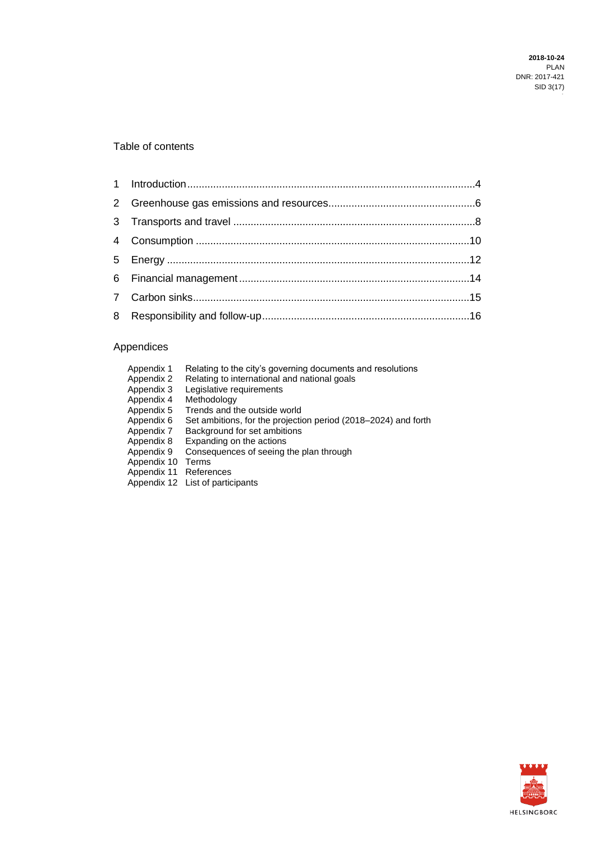#### Table of contents

## Appendices

| Appendix 1  | Relating to the city's governing documents and resolutions     |
|-------------|----------------------------------------------------------------|
| Appendix 2  | Relating to international and national goals                   |
| Appendix 3  | Legislative requirements                                       |
| Appendix 4  | Methodology                                                    |
| Appendix 5  | Trends and the outside world                                   |
| Appendix 6  | Set ambitions, for the projection period (2018–2024) and forth |
| Appendix 7  | Background for set ambitions                                   |
| Appendix 8  | Expanding on the actions                                       |
| Appendix 9  | Consequences of seeing the plan through                        |
| Appendix 10 | Terms                                                          |
| Appendix 11 | References                                                     |
|             | Appendix 12 List of participants                               |

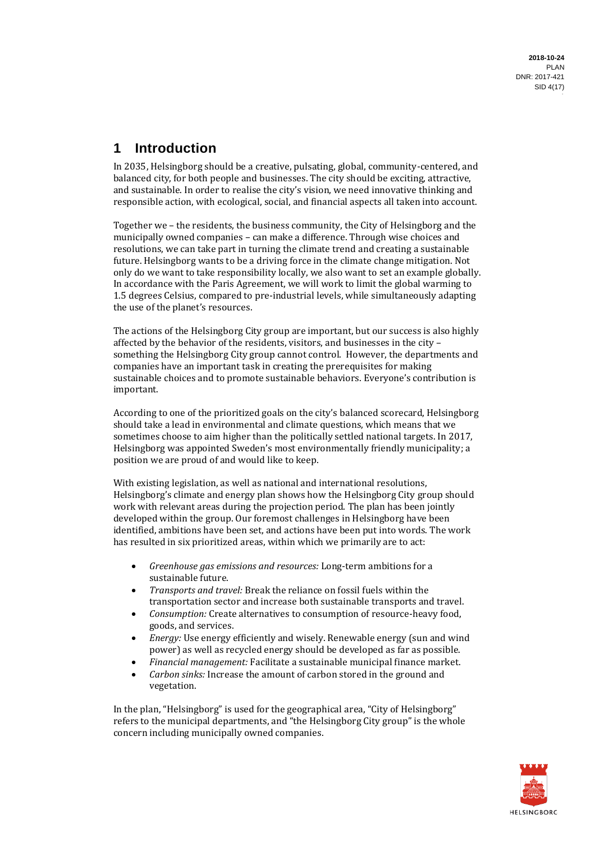## **1 Introduction**

In 2035, Helsingborg should be a creative, pulsating, global, community-centered, and balanced city, for both people and businesses. The city should be exciting, attractive, and sustainable. In order to realise the city's vision, we need innovative thinking and responsible action, with ecological, social, and financial aspects all taken into account.

Together we – the residents, the business community, the City of Helsingborg and the municipally owned companies – can make a difference. Through wise choices and resolutions, we can take part in turning the climate trend and creating a sustainable future. Helsingborg wants to be a driving force in the climate change mitigation. Not only do we want to take responsibility locally, we also want to set an example globally. In accordance with the Paris Agreement, we will work to limit the global warming to 1.5 degrees Celsius, compared to pre-industrial levels, while simultaneously adapting the use of the planet's resources.

The actions of the Helsingborg City group are important, but our success is also highly affected by the behavior of the residents, visitors, and businesses in the city – something the Helsingborg City group cannot control. However, the departments and companies have an important task in creating the prerequisites for making sustainable choices and to promote sustainable behaviors. Everyone's contribution is important.

According to one of the prioritized goals on the city's balanced scorecard, Helsingborg should take a lead in environmental and climate questions, which means that we sometimes choose to aim higher than the politically settled national targets. In 2017, Helsingborg was appointed Sweden's most environmentally friendly municipality; a position we are proud of and would like to keep.

With existing legislation, as well as national and international resolutions, Helsingborg's climate and energy plan shows how the Helsingborg City group should work with relevant areas during the projection period. The plan has been jointly developed within the group. Our foremost challenges in Helsingborg have been identified, ambitions have been set, and actions have been put into words. The work has resulted in six prioritized areas, within which we primarily are to act:

- *Greenhouse gas emissions and resources:* Long-term ambitions for a sustainable future.
- *Transports and travel:* Break the reliance on fossil fuels within the transportation sector and increase both sustainable transports and travel.
- *Consumption:* Create alternatives to consumption of resource-heavy food, goods, and services.
- *Energy:* Use energy efficiently and wisely. Renewable energy (sun and wind power) as well as recycled energy should be developed as far as possible.
- *Financial management:* Facilitate a sustainable municipal finance market.
- *Carbon sinks:* Increase the amount of carbon stored in the ground and vegetation.

In the plan, "Helsingborg" is used for the geographical area, "City of Helsingborg" refers to the municipal departments, and "the Helsingborg City group" is the whole concern including municipally owned companies.

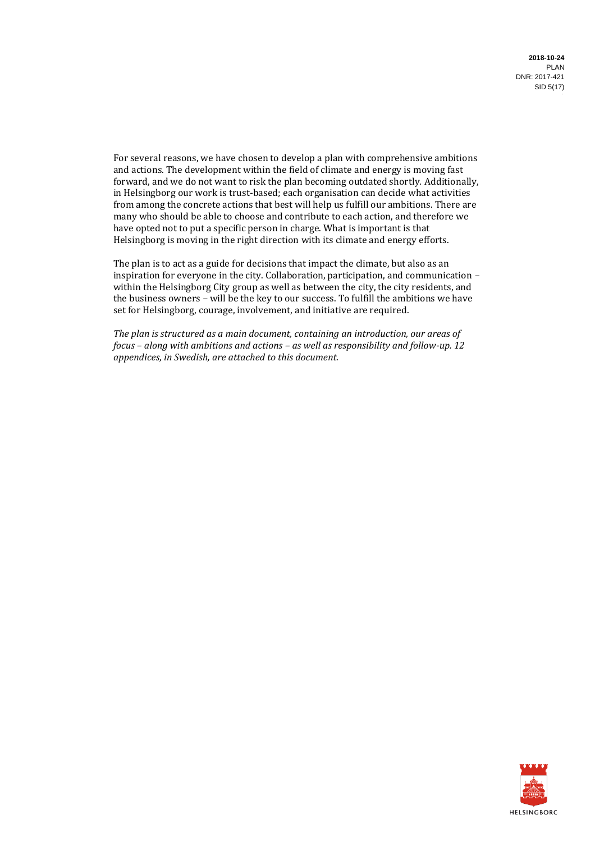**2018-10-24** PLAN DNR: 2017-421 SID 5(17)

For several reasons, we have chosen to develop a plan with comprehensive ambitions and actions. The development within the field of climate and energy is moving fast forward, and we do not want to risk the plan becoming outdated shortly. Additionally, in Helsingborg our work is trust-based; each organisation can decide what activities from among the concrete actions that best will help us fulfill our ambitions. There are many who should be able to choose and contribute to each action, and therefore we have opted not to put a specific person in charge. What is important is that Helsingborg is moving in the right direction with its climate and energy efforts.

The plan is to act as a guide for decisions that impact the climate, but also as an inspiration for everyone in the city. Collaboration, participation, and communication – within the Helsingborg City group as well as between the city, the city residents, and the business owners *–* will be the key to our success. To fulfill the ambitions we have set for Helsingborg, courage, involvement, and initiative are required.

*The plan is structured as a main document, containing an introduction, our areas of focus – along with ambitions and actions – as well as responsibility and follow-up. 12 appendices, in Swedish, are attached to this document.*

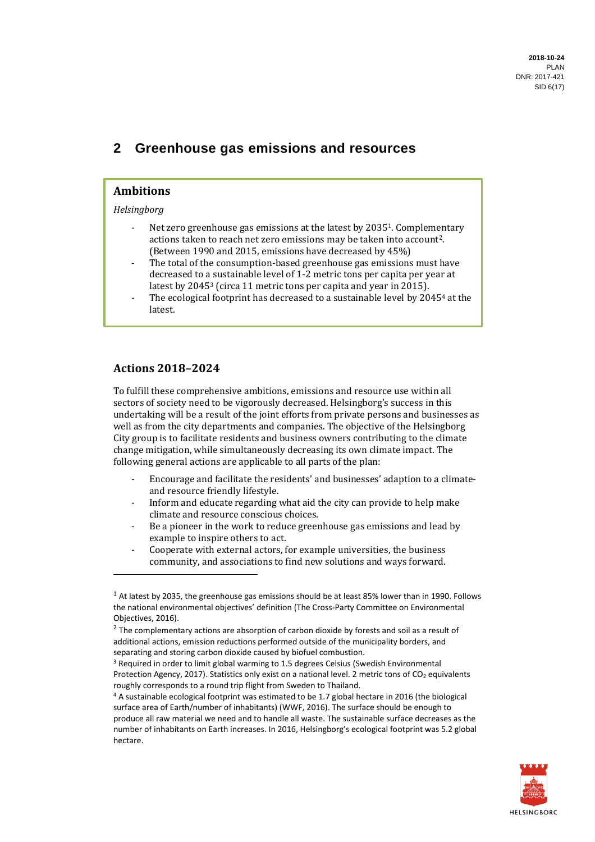## **2 Greenhouse gas emissions and resources**

#### **Ambitions**

#### *Helsingborg*

- Net zero greenhouse gas emissions at the latest by 2035<sup>1</sup>. Complementary actions taken to reach net zero emissions may be taken into account2. (Between 1990 and 2015, emissions have decreased by 45%)
- The total of the consumption-based greenhouse gas emissions must have decreased to a sustainable level of 1-2 metric tons per capita per year at latest by 2045<sup>3</sup> (circa 11 metric tons per capita and year in 2015).
- The ecological footprint has decreased to a sustainable level by 2045<sup>4</sup> at the latest.

#### **Actions 2018–2024**

To fulfill these comprehensive ambitions, emissions and resource use within all sectors of society need to be vigorously decreased. Helsingborg's success in this undertaking will be a result of the joint efforts from private persons and businesses as well as from the city departments and companies. The objective of the Helsingborg City group is to facilitate residents and business owners contributing to the climate change mitigation, while simultaneously decreasing its own climate impact. The following general actions are applicable to all parts of the plan:

- Encourage and facilitate the residents' and businesses' adaption to a climateand resource friendly lifestyle.
- Inform and educate regarding what aid the city can provide to help make climate and resource conscious choices.
- Be a pioneer in the work to reduce greenhouse gas emissions and lead by example to inspire others to act.
- Cooperate with external actors, for example universities, the business community, and associations to find new solutions and ways forward.

<sup>4</sup> A sustainable ecological footprint was estimated to be 1.7 global hectare in 2016 (the biological surface area of Earth/number of inhabitants) (WWF, 2016). The surface should be enough to produce all raw material we need and to handle all waste. The sustainable surface decreases as the number of inhabitants on Earth increases. In 2016, Helsingborg's ecological footprint was 5.2 global hectare.



 $1$  At latest by 2035, the greenhouse gas emissions should be at least 85% lower than in 1990. Follows the national environmental objectives' definition (The Cross-Party Committee on Environmental Objectives, 2016).

 $2$  The complementary actions are absorption of carbon dioxide by forests and soil as a result of additional actions, emission reductions performed outside of the municipality borders, and separating and storing carbon dioxide caused by biofuel combustion.

<sup>&</sup>lt;sup>3</sup> Required in order to limit global warming to 1.5 degrees Celsius (Swedish Environmental Protection Agency, 2017). Statistics only exist on a national level. 2 metric tons of CO<sub>2</sub> equivalents roughly corresponds to a round trip flight from Sweden to Thailand.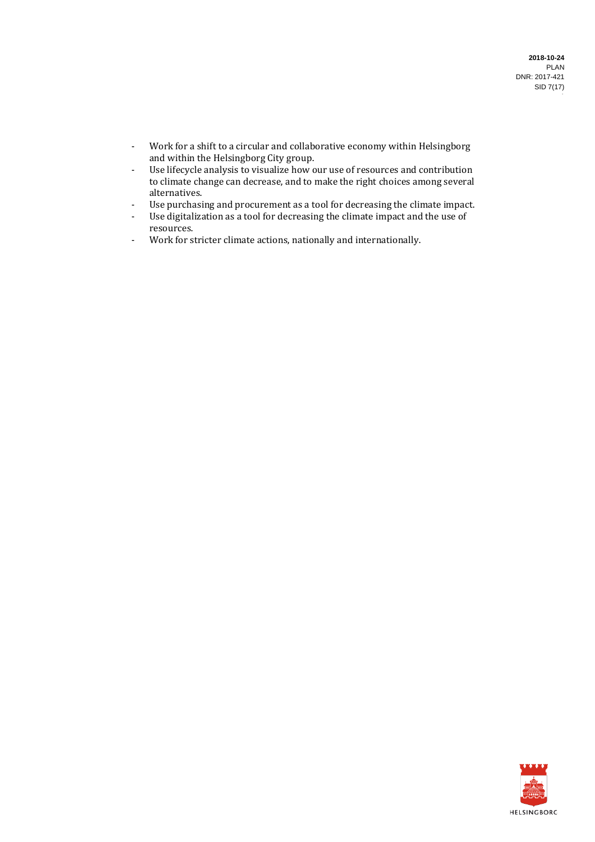- Work for a shift to a circular and collaborative economy within Helsingborg and within the Helsingborg City group.
- Use lifecycle analysis to visualize how our use of resources and contribution to climate change can decrease, and to make the right choices among several alternatives.
- Use purchasing and procurement as a tool for decreasing the climate impact.
- Use digitalization as a tool for decreasing the climate impact and the use of resources.
- Work for stricter climate actions, nationally and internationally.

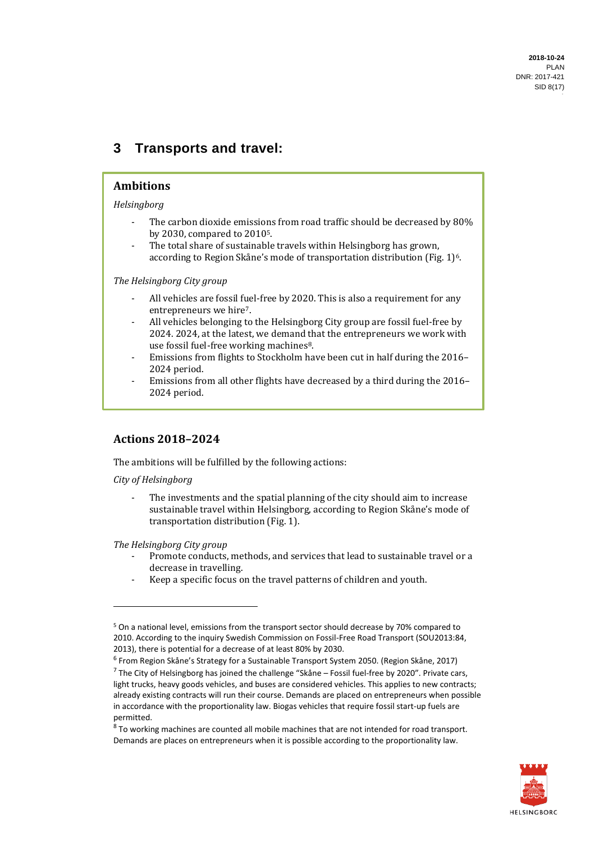## **3 Transports and travel:**

#### **Ambitions**

*Helsingborg*

- The carbon dioxide emissions from road traffic should be decreased by 80% by 2030, compared to 20105.
- The total share of sustainable travels within Helsingborg has grown, according to Region Skåne's mode of transportation distribution (Fig. 1)<sup>6</sup>.

*The Helsingborg City group*

- All vehicles are fossil fuel-free by 2020. This is also a requirement for any entrepreneurs we hire7.
- All vehicles belonging to the Helsingborg City group are fossil fuel-free by 2024. 2024, at the latest, we demand that the entrepreneurs we work with use fossil fuel-free working machines8.
- Emissions from flights to Stockholm have been cut in half during the 2016– 2024 period.
- Emissions from all other flights have decreased by a third during the 2016– 2024 period.

#### **Actions 2018–2024**

The ambitions will be fulfilled by the following actions:

*City of Helsingborg*

The investments and the spatial planning of the city should aim to increase sustainable travel within Helsingborg, according to Region Skåne's mode of transportation distribution (Fig. 1).

*The Helsingborg City group*

- Promote conducts, methods, and services that lead to sustainable travel or a decrease in travelling.
- Keep a specific focus on the travel patterns of children and youth.

 $8$  To working machines are counted all mobile machines that are not intended for road transport. Demands are places on entrepreneurs when it is possible according to the proportionality law.



<sup>5</sup> On a national level, emissions from the transport sector should decrease by 70% compared to 2010. According to the inquiry Swedish Commission on Fossil-Free Road Transport (SOU2013:84, 2013), there is potential for a decrease of at least 80% by 2030.

<sup>6</sup> From Region Skåne's Strategy for a Sustainable Transport System 2050. (Region Skåne, 2017) <sup>7</sup> The City of Helsingborg has joined the challenge "Skåne – Fossil fuel-free by 2020". Private cars, light trucks, heavy goods vehicles, and buses are considered vehicles. This applies to new contracts; already existing contracts will run their course. Demands are placed on entrepreneurs when possible in accordance with the proportionality law. Biogas vehicles that require fossil start-up fuels are permitted.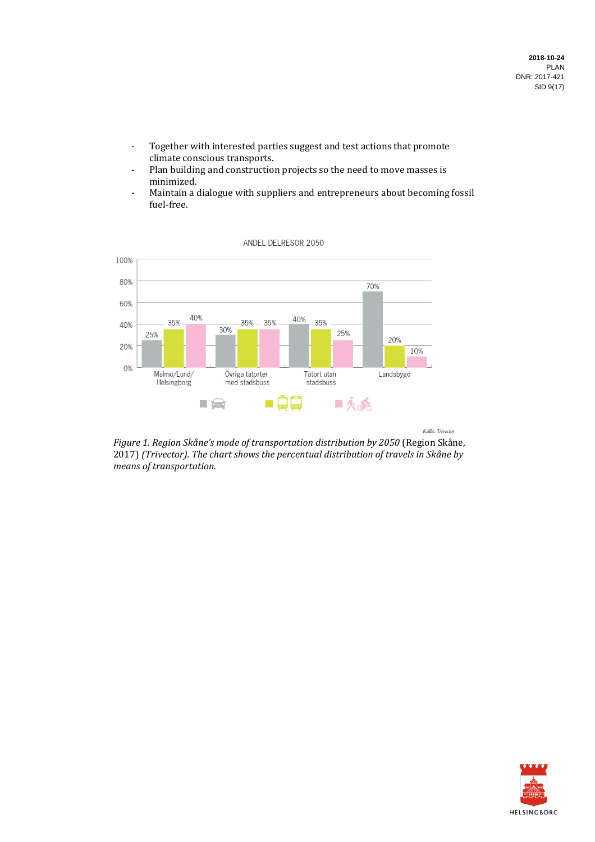- Together with interested parties suggest and test actions that promote climate conscious transports.
- Plan building and construction projects so the need to move masses is minimized.
- Maintain a dialogue with suppliers and entrepreneurs about becoming fossil fuel-free.



Källa: Trivector

*Figure 1. Region Skåne's mode of transportation distribution by 2050* (Region Skåne, 2017) *(Trivector). The chart shows the percentual distribution of travels in Skåne by means of transportation.*

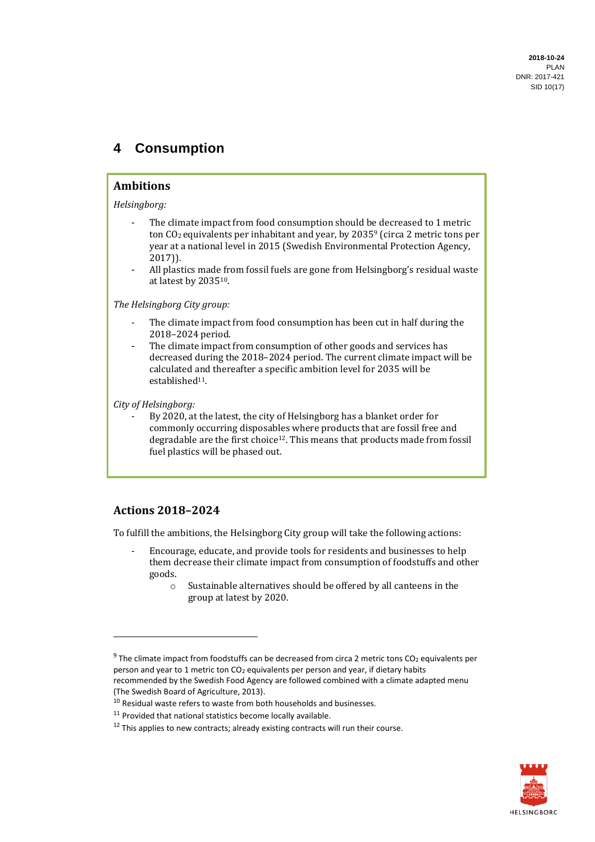## **4 Consumption**

#### **Ambitions**

*Helsingborg:*

- The climate impact from food consumption should be decreased to 1 metric ton CO<sub>2</sub> equivalents per inhabitant and year, by 2035<sup>9</sup> (circa 2 metric tons per year at a national level in 2015 (Swedish Environmental Protection Agency, 2017)).
- All plastics made from fossil fuels are gone from Helsingborg's residual waste at latest by 203510.

*The Helsingborg City group:*

- The climate impact from food consumption has been cut in half during the 2018–2024 period.
- The climate impact from consumption of other goods and services has decreased during the 2018–2024 period. The current climate impact will be calculated and thereafter a specific ambition level for 2035 will be established<sup>11</sup>.

*City of Helsingborg:* 

By 2020, at the latest, the city of Helsingborg has a blanket order for commonly occurring disposables where products that are fossil free and degradable are the first choice<sup>12</sup>. This means that products made from fossil fuel plastics will be phased out.

## **Actions 2018–2024**

To fulfill the ambitions, the Helsingborg City group will take the following actions:

- Encourage, educate, and provide tools for residents and businesses to help them decrease their climate impact from consumption of foodstuffs and other goods.
	- o Sustainable alternatives should be offered by all canteens in the group at latest by 2020.



 $9$  The climate impact from foodstuffs can be decreased from circa 2 metric tons CO<sub>2</sub> equivalents per person and year to 1 metric ton  $CO<sub>2</sub>$  equivalents per person and year, if dietary habits recommended by the Swedish Food Agency are followed combined with a climate adapted menu (The Swedish Board of Agriculture, 2013).

 $10$  Residual waste refers to waste from both households and businesses.

<sup>&</sup>lt;sup>11</sup> Provided that national statistics become locally available.

 $12$  This applies to new contracts; already existing contracts will run their course.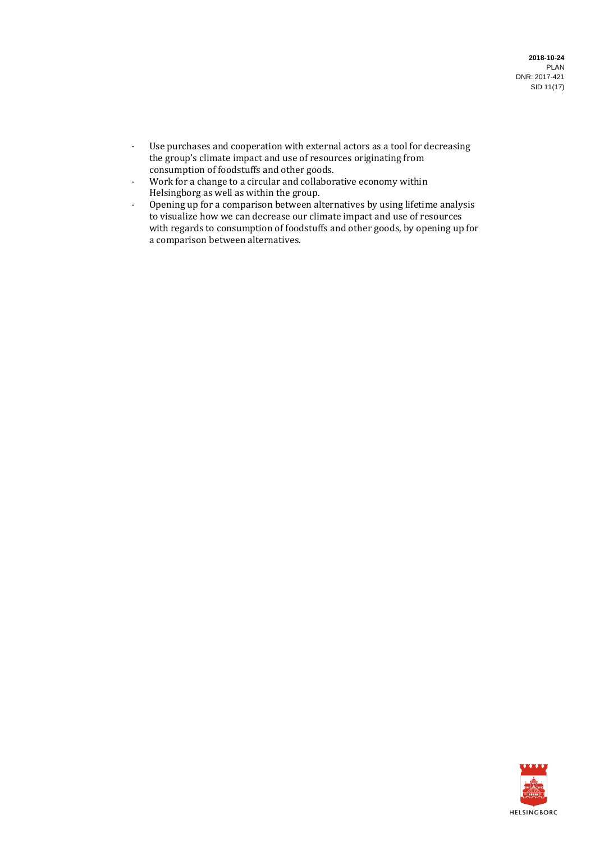- Use purchases and cooperation with external actors as a tool for decreasing the group's climate impact and use of resources originating from consumption of foodstuffs and other goods.
- Work for a change to a circular and collaborative economy within Helsingborg as well as within the group.
- Opening up for a comparison between alternatives by using lifetime analysis to visualize how we can decrease our climate impact and use of resources with regards to consumption of foodstuffs and other goods, by opening up for a comparison between alternatives.

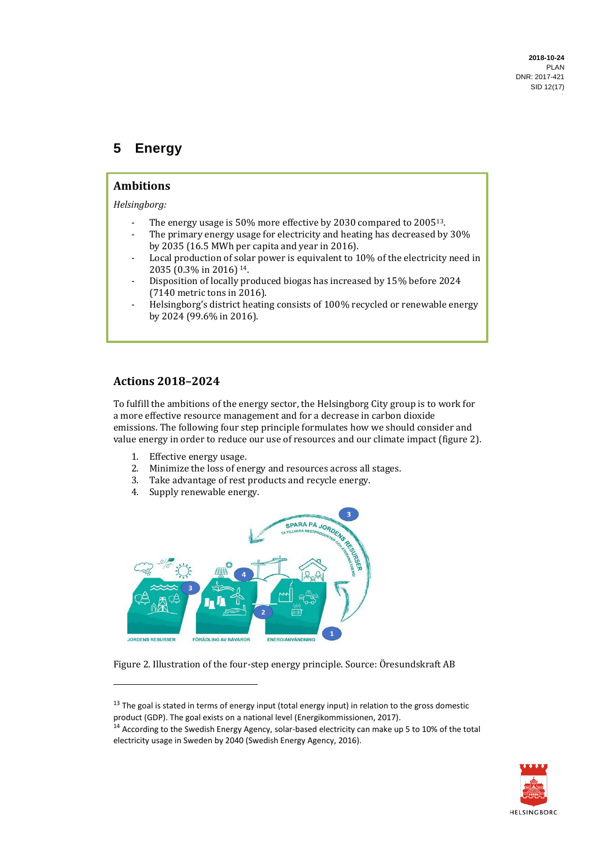# **5 Energy**

#### **Ambitions**

*Helsingborg:*

- The energy usage is 50% more effective by 2030 compared to 2005<sup>13</sup>.
- The primary energy usage for electricity and heating has decreased by 30% by 2035 (16.5 MWh per capita and year in 2016).
- Local production of solar power is equivalent to 10% of the electricity need in 2035 (0.3% in 2016) <sup>14</sup>.
- Disposition of locally produced biogas has increased by 15% before 2024 (7140 metric tons in 2016).
- Helsingborg's district heating consists of 100% recycled or renewable energy by 2024 (99.6% in 2016).

#### **Actions 2018–2024**

To fulfill the ambitions of the energy sector, the Helsingborg City group is to work for a more effective resource management and for a decrease in carbon dioxide emissions. The following four step principle formulates how we should consider and value energy in order to reduce our use of resources and our climate impact (figure 2).

- 1. Effective energy usage.
- 2. Minimize the loss of energy and resources across all stages.
- 3. Take advantage of rest products and recycle energy.
- 4. Supply renewable energy.



Figure 2. Illustration of the four-step energy principle. Source: Öresundskraft AB

<sup>14</sup> According to the Swedish Energy Agency, solar-based electricity can make up 5 to 10% of the total electricity usage in Sweden by 2040 (Swedish Energy Agency, 2016).



 $13$  The goal is stated in terms of energy input (total energy input) in relation to the gross domestic product (GDP). The goal exists on a national level (Energikommissionen, 2017).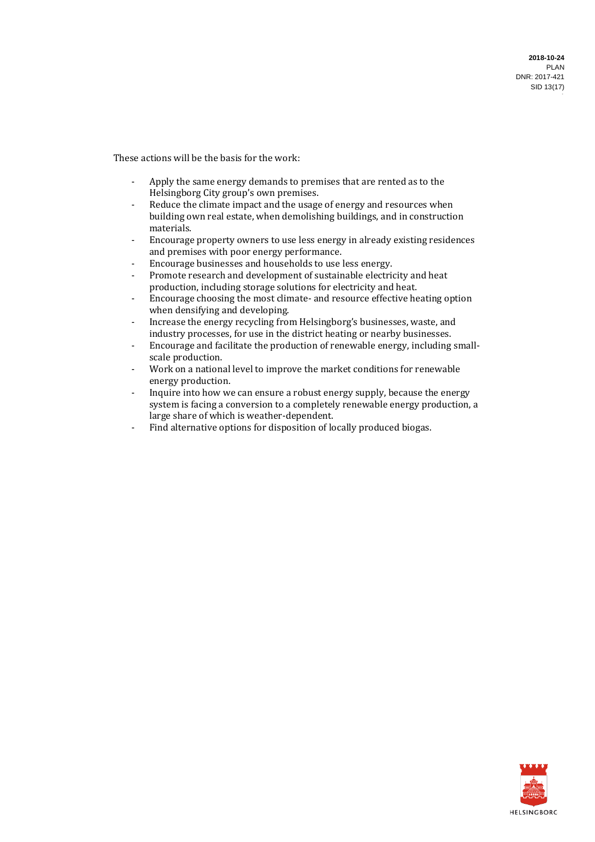**2018-10-24** PLAN DNR: 2017-421 SID 13(17)

These actions will be the basis for the work:

- Apply the same energy demands to premises that are rented as to the Helsingborg City group's own premises.
- Reduce the climate impact and the usage of energy and resources when building own real estate, when demolishing buildings, and in construction materials.
- Encourage property owners to use less energy in already existing residences and premises with poor energy performance.
- Encourage businesses and households to use less energy.
- Promote research and development of sustainable electricity and heat production, including storage solutions for electricity and heat.
- Encourage choosing the most climate- and resource effective heating option when densifying and developing.
- Increase the energy recycling from Helsingborg's businesses, waste, and industry processes, for use in the district heating or nearby businesses.
- Encourage and facilitate the production of renewable energy, including smallscale production.
- Work on a national level to improve the market conditions for renewable energy production.
- Inquire into how we can ensure a robust energy supply, because the energy system is facing a conversion to a completely renewable energy production, a large share of which is weather-dependent.
- Find alternative options for disposition of locally produced biogas.

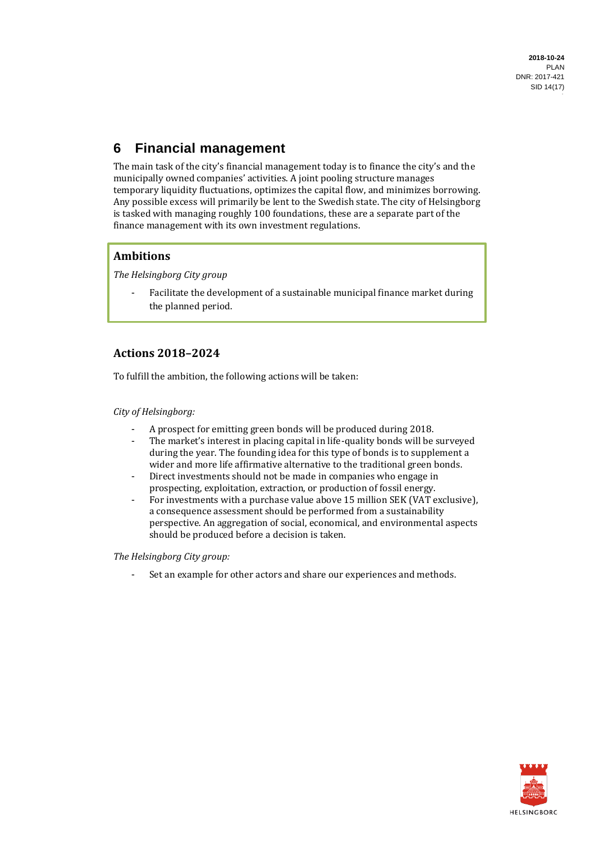# **6 Financial management**

The main task of the city's financial management today is to finance the city's and the municipally owned companies' activities. A joint pooling structure manages temporary liquidity fluctuations, optimizes the capital flow, and minimizes borrowing. Any possible excess will primarily be lent to the Swedish state. The city of Helsingborg is tasked with managing roughly 100 foundations, these are a separate part of the finance management with its own investment regulations.

## **Ambitions**

*The Helsingborg City group*

Facilitate the development of a sustainable municipal finance market during the planned period.

## **Actions 2018–2024**

To fulfill the ambition, the following actions will be taken:

#### *City of Helsingborg:*

- A prospect for emitting green bonds will be produced during 2018.
- The market's interest in placing capital in life-quality bonds will be surveyed during the year. The founding idea for this type of bonds is to supplement a wider and more life affirmative alternative to the traditional green bonds.
- Direct investments should not be made in companies who engage in prospecting, exploitation, extraction, or production of fossil energy.
- For investments with a purchase value above 15 million SEK (VAT exclusive), a consequence assessment should be performed from a sustainability perspective. An aggregation of social, economical, and environmental aspects should be produced before a decision is taken.

#### *The Helsingborg City group:*

- Set an example for other actors and share our experiences and methods.

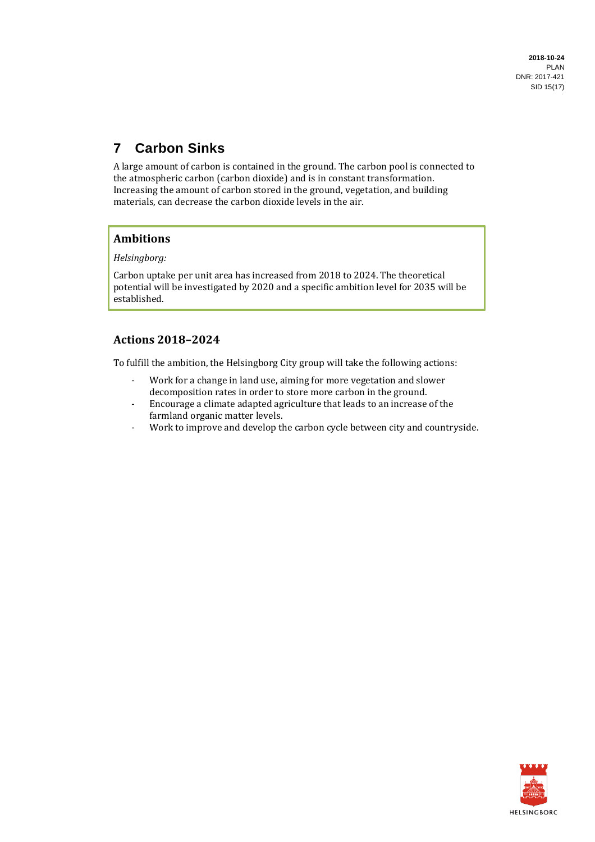**2018-10-24** PLAN DNR: 2017-421 SID 15(17)

# **7 Carbon Sinks**

A large amount of carbon is contained in the ground. The carbon pool is connected to the atmospheric carbon (carbon dioxide) and is in constant transformation. Increasing the amount of carbon stored in the ground, vegetation, and building materials, can decrease the carbon dioxide levels in the air.

## **Ambitions**

*Helsingborg:*

Carbon uptake per unit area has increased from 2018 to 2024. The theoretical potential will be investigated by 2020 and a specific ambition level for 2035 will be established.

## **Actions 2018–2024**

To fulfill the ambition, the Helsingborg City group will take the following actions:

- Work for a change in land use, aiming for more vegetation and slower decomposition rates in order to store more carbon in the ground.
- Encourage a climate adapted agriculture that leads to an increase of the farmland organic matter levels.
- Work to improve and develop the carbon cycle between city and countryside.

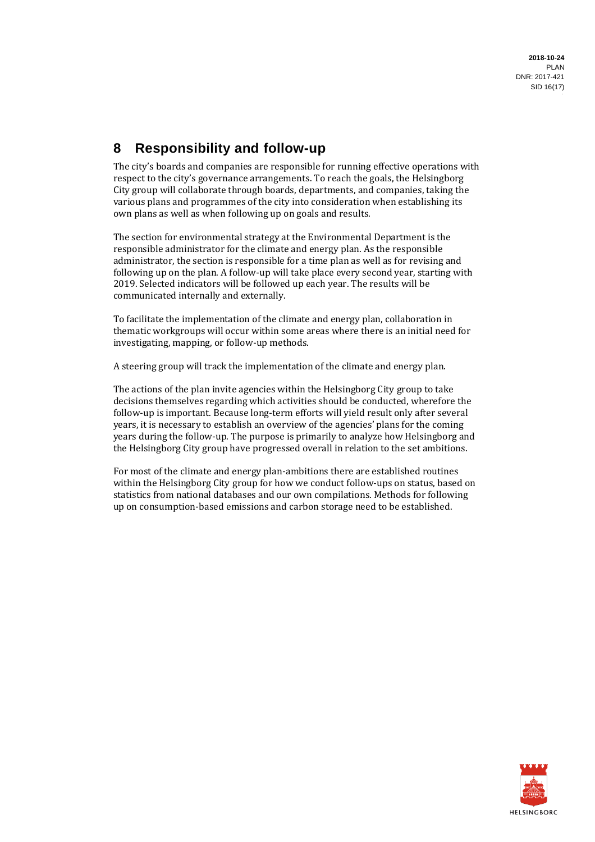# **8 Responsibility and follow-up**

The city's boards and companies are responsible for running effective operations with respect to the city's governance arrangements. To reach the goals, the Helsingborg City group will collaborate through boards, departments, and companies, taking the various plans and programmes of the city into consideration when establishing its own plans as well as when following up on goals and results.

The section for environmental strategy at the Environmental Department is the responsible administrator for the climate and energy plan. As the responsible administrator, the section is responsible for a time plan as well as for revising and following up on the plan. A follow-up will take place every second year, starting with 2019. Selected indicators will be followed up each year. The results will be communicated internally and externally.

To facilitate the implementation of the climate and energy plan, collaboration in thematic workgroups will occur within some areas where there is an initial need for investigating, mapping, or follow-up methods.

A steering group will track the implementation of the climate and energy plan.

The actions of the plan invite agencies within the Helsingborg City group to take decisions themselves regarding which activities should be conducted, wherefore the follow-up is important. Because long-term efforts will yield result only after several years, it is necessary to establish an overview of the agencies' plans for the coming years during the follow-up. The purpose is primarily to analyze how Helsingborg and the Helsingborg City group have progressed overall in relation to the set ambitions.

For most of the climate and energy plan-ambitions there are established routines within the Helsingborg City group for how we conduct follow-ups on status, based on statistics from national databases and our own compilations. Methods for following up on consumption-based emissions and carbon storage need to be established.